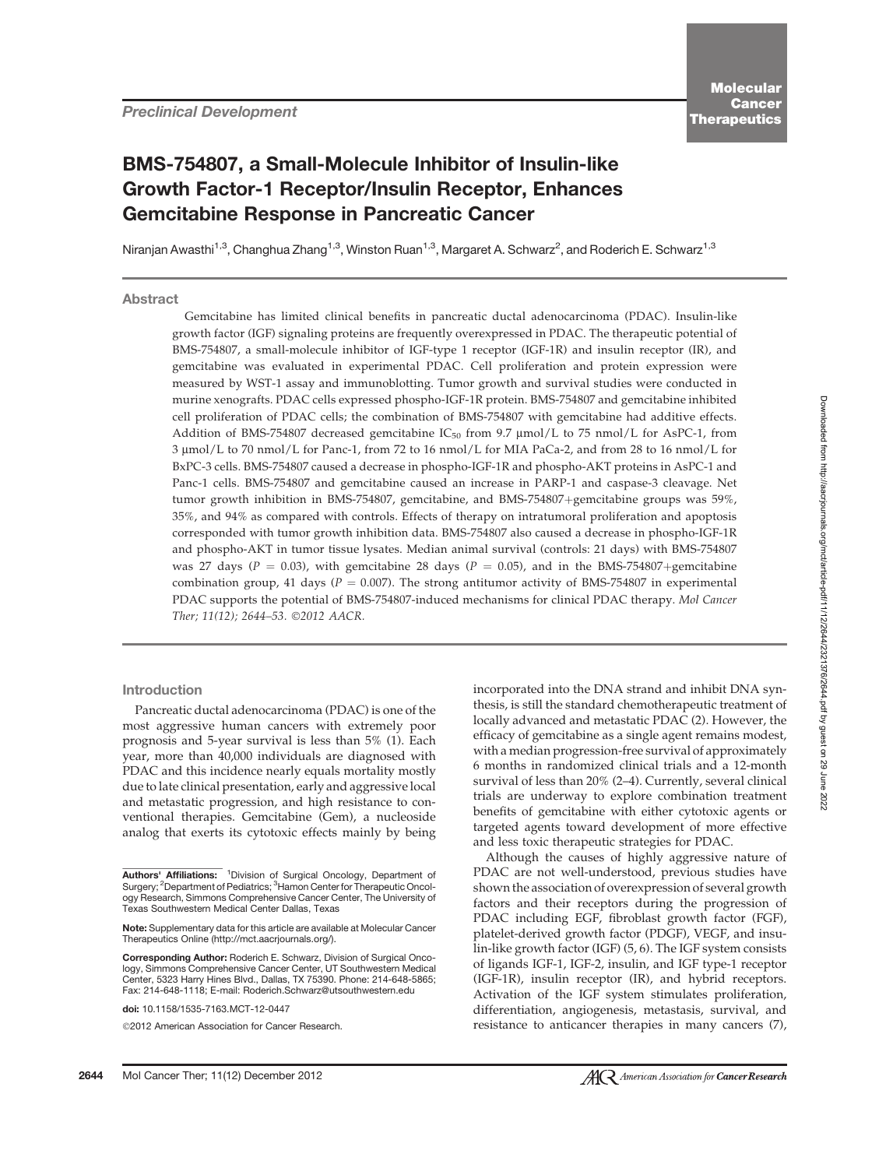# BMS-754807, a Small-Molecule Inhibitor of Insulin-like Growth Factor-1 Receptor/Insulin Receptor, Enhances Gemcitabine Response in Pancreatic Cancer

Niranjan Awasthi<sup>1,3</sup>, Changhua Zhang<sup>1,3</sup>, Winston Ruan<sup>1,3</sup>, Margaret A. Schwarz<sup>2</sup>, and Roderich E. Schwarz<sup>1,3</sup>

Abstract

Gemcitabine has limited clinical benefits in pancreatic ductal adenocarcinoma (PDAC). Insulin-like growth factor (IGF) signaling proteins are frequently overexpressed in PDAC. The therapeutic potential of BMS-754807, a small-molecule inhibitor of IGF-type 1 receptor (IGF-1R) and insulin receptor (IR), and gemcitabine was evaluated in experimental PDAC. Cell proliferation and protein expression were measured by WST-1 assay and immunoblotting. Tumor growth and survival studies were conducted in murine xenografts. PDAC cells expressed phospho-IGF-1R protein. BMS-754807 and gemcitabine inhibited cell proliferation of PDAC cells; the combination of BMS-754807 with gemcitabine had additive effects. Addition of BMS-754807 decreased gemcitabine IC<sub>50</sub> from 9.7  $\mu$ mol/L to 75 nmol/L for AsPC-1, from 3 mmol/L to 70 nmol/L for Panc-1, from 72 to 16 nmol/L for MIA PaCa-2, and from 28 to 16 nmol/L for BxPC-3 cells. BMS-754807 caused a decrease in phospho-IGF-1R and phospho-AKT proteins in AsPC-1 and Panc-1 cells. BMS-754807 and gemcitabine caused an increase in PARP-1 and caspase-3 cleavage. Net tumor growth inhibition in BMS-754807, gemcitabine, and BMS-754807+gemcitabine groups was 59%, 35%, and 94% as compared with controls. Effects of therapy on intratumoral proliferation and apoptosis corresponded with tumor growth inhibition data. BMS-754807 also caused a decrease in phospho-IGF-1R and phospho-AKT in tumor tissue lysates. Median animal survival (controls: 21 days) with BMS-754807 was 27 days ( $P = 0.03$ ), with gemcitabine 28 days ( $P = 0.05$ ), and in the BMS-754807+gemcitabine combination group, 41 days ( $P = 0.007$ ). The strong antitumor activity of BMS-754807 in experimental PDAC supports the potential of BMS-754807-induced mechanisms for clinical PDAC therapy. Mol Cancer Ther; 11(12); 2644-53. ©2012 AACR.

#### Introduction

Pancreatic ductal adenocarcinoma (PDAC) is one of the most aggressive human cancers with extremely poor prognosis and 5-year survival is less than 5% (1). Each year, more than 40,000 individuals are diagnosed with PDAC and this incidence nearly equals mortality mostly due to late clinical presentation, early and aggressive local and metastatic progression, and high resistance to conventional therapies. Gemcitabine (Gem), a nucleoside analog that exerts its cytotoxic effects mainly by being

doi: 10.1158/1535-7163.MCT-12-0447

©2012 American Association for Cancer Research.

incorporated into the DNA strand and inhibit DNA synthesis, is still the standard chemotherapeutic treatment of locally advanced and metastatic PDAC (2). However, the efficacy of gemcitabine as a single agent remains modest, with a median progression-free survival of approximately 6 months in randomized clinical trials and a 12-month survival of less than 20% (2–4). Currently, several clinical trials are underway to explore combination treatment benefits of gemcitabine with either cytotoxic agents or targeted agents toward development of more effective and less toxic therapeutic strategies for PDAC.

Although the causes of highly aggressive nature of PDAC are not well-understood, previous studies have shown the association of overexpression of several growth factors and their receptors during the progression of PDAC including EGF, fibroblast growth factor (FGF), platelet-derived growth factor (PDGF), VEGF, and insulin-like growth factor (IGF) (5, 6). The IGF system consists of ligands IGF-1, IGF-2, insulin, and IGF type-1 receptor (IGF-1R), insulin receptor (IR), and hybrid receptors. Activation of the IGF system stimulates proliferation, differentiation, angiogenesis, metastasis, survival, and resistance to anticancer therapies in many cancers (7),

Authors' Affiliations: <sup>1</sup> Division of Surgical Oncology, Department of Surgery; <sup>2</sup>Department of Pediatrics; <sup>3</sup>Hamon Center for Therapeutic Oncology Research, Simmons Comprehensive Cancer Center, The University of Texas Southwestern Medical Center Dallas, Texas

Note: Supplementary data for this article are available at Molecular Cancer Therapeutics Online (http://mct.aacrjournals.org/).

Corresponding Author: Roderich E. Schwarz, Division of Surgical Oncology, Simmons Comprehensive Cancer Center, UT Southwestern Medical Center, 5323 Harry Hines Blvd., Dallas, TX 75390. Phone: 214-648-5865; Fax: 214-648-1118; E-mail: Roderich.Schwarz@utsouthwestern.edu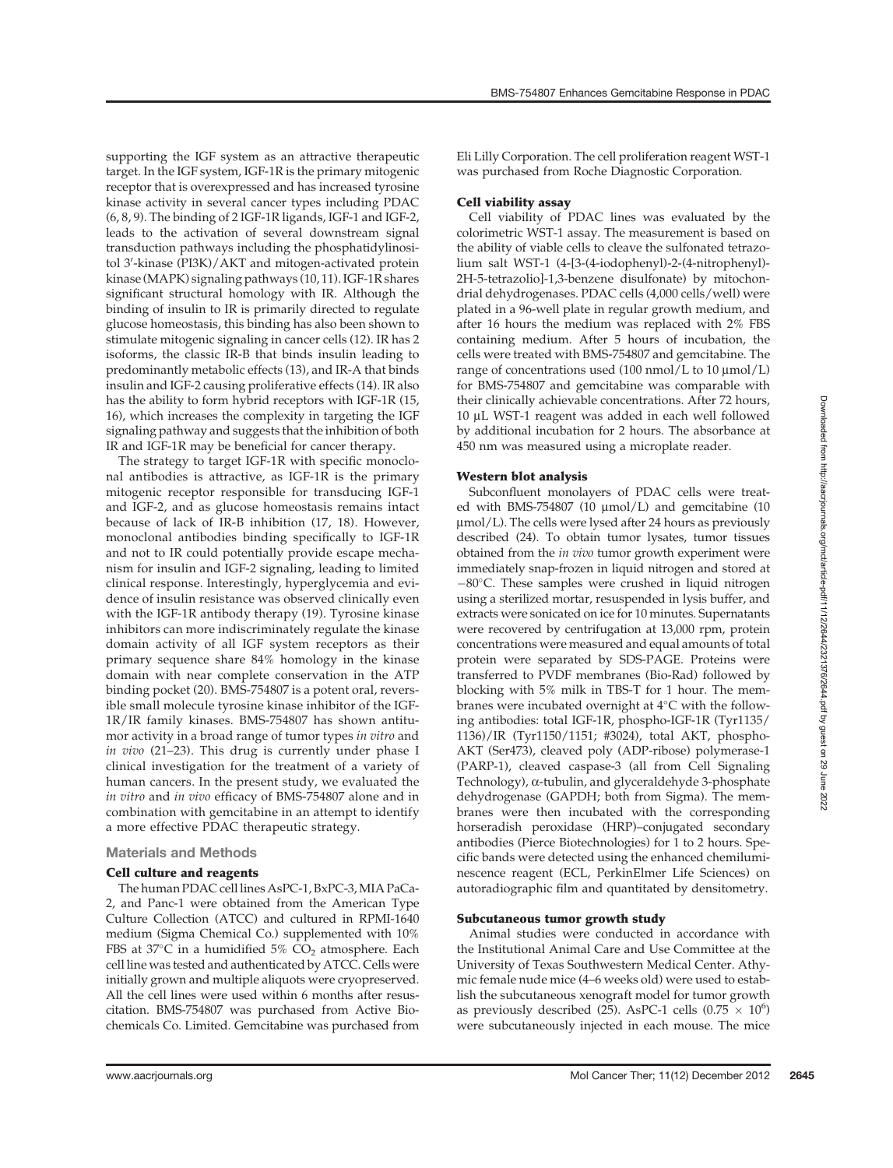supporting the IGF system as an attractive therapeutic target. In the IGF system, IGF-1R is the primary mitogenic receptor that is overexpressed and has increased tyrosine kinase activity in several cancer types including PDAC (6, 8, 9). The binding of 2 IGF-1R ligands, IGF-1 and IGF-2, leads to the activation of several downstream signal transduction pathways including the phosphatidylinositol 3′-kinase (PI3K)/AKT and mitogen-activated protein kinase (MAPK) signaling pathways (10, 11). IGF-1R shares significant structural homology with IR. Although the binding of insulin to IR is primarily directed to regulate glucose homeostasis, this binding has also been shown to stimulate mitogenic signaling in cancer cells (12). IR has 2 isoforms, the classic IR-B that binds insulin leading to predominantly metabolic effects (13), and IR-A that binds insulin and IGF-2 causing proliferative effects (14). IR also has the ability to form hybrid receptors with IGF-1R (15, 16), which increases the complexity in targeting the IGF signaling pathway and suggests that the inhibition of both IR and IGF-1R may be beneficial for cancer therapy.

The strategy to target IGF-1R with specific monoclonal antibodies is attractive, as IGF-1R is the primary mitogenic receptor responsible for transducing IGF-1 and IGF-2, and as glucose homeostasis remains intact because of lack of IR-B inhibition (17, 18). However, monoclonal antibodies binding specifically to IGF-1R and not to IR could potentially provide escape mechanism for insulin and IGF-2 signaling, leading to limited clinical response. Interestingly, hyperglycemia and evidence of insulin resistance was observed clinically even with the IGF-1R antibody therapy (19). Tyrosine kinase inhibitors can more indiscriminately regulate the kinase domain activity of all IGF system receptors as their primary sequence share 84% homology in the kinase domain with near complete conservation in the ATP binding pocket (20). BMS-754807 is a potent oral, reversible small molecule tyrosine kinase inhibitor of the IGF-1R/IR family kinases. BMS-754807 has shown antitumor activity in a broad range of tumor types in vitro and in vivo (21–23). This drug is currently under phase I clinical investigation for the treatment of a variety of human cancers. In the present study, we evaluated the in vitro and in vivo efficacy of BMS-754807 alone and in combination with gemcitabine in an attempt to identify a more effective PDAC therapeutic strategy.

# Materials and Methods

## Cell culture and reagents

The human PDAC cell lines AsPC-1, BxPC-3,MIA PaCa-2, and Panc-1 were obtained from the American Type Culture Collection (ATCC) and cultured in RPMI-1640 medium (Sigma Chemical Co.) supplemented with 10% FBS at  $37^{\circ}$ C in a humidified  $5\%$  CO<sub>2</sub> atmosphere. Each cell line was tested and authenticated by ATCC. Cells were initially grown and multiple aliquots were cryopreserved. All the cell lines were used within 6 months after resuscitation. BMS-754807 was purchased from Active Biochemicals Co. Limited. Gemcitabine was purchased from Eli Lilly Corporation. The cell proliferation reagent WST-1 was purchased from Roche Diagnostic Corporation.

## Cell viability assay

Cell viability of PDAC lines was evaluated by the colorimetric WST-1 assay. The measurement is based on the ability of viable cells to cleave the sulfonated tetrazolium salt WST-1 (4-[3-(4-iodophenyl)-2-(4-nitrophenyl)- 2H-5-tetrazolio]-1,3-benzene disulfonate) by mitochondrial dehydrogenases. PDAC cells (4,000 cells/well) were plated in a 96-well plate in regular growth medium, and after 16 hours the medium was replaced with 2% FBS containing medium. After 5 hours of incubation, the cells were treated with BMS-754807 and gemcitabine. The range of concentrations used  $(100 \text{ nmol/L to } 10 \text{ µmol/L})$ for BMS-754807 and gemcitabine was comparable with their clinically achievable concentrations. After 72 hours, 10 mL WST-1 reagent was added in each well followed by additional incubation for 2 hours. The absorbance at 450 nm was measured using a microplate reader.

#### Western blot analysis

Subconfluent monolayers of PDAC cells were treated with BMS-754807 (10  $\mu$ mol/L) and gemcitabine (10 mmol/L). The cells were lysed after 24 hours as previously described (24). To obtain tumor lysates, tumor tissues obtained from the in vivo tumor growth experiment were immediately snap-frozen in liquid nitrogen and stored at -80°C. These samples were crushed in liquid nitrogen using a sterilized mortar, resuspended in lysis buffer, and extracts were sonicated on ice for 10 minutes. Supernatants were recovered by centrifugation at 13,000 rpm, protein concentrations were measured and equal amounts of total protein were separated by SDS-PAGE. Proteins were transferred to PVDF membranes (Bio-Rad) followed by blocking with 5% milk in TBS-T for 1 hour. The membranes were incubated overnight at  $4^{\circ}\mathrm{C}$  with the following antibodies: total IGF-1R, phospho-IGF-1R (Tyr1135/ 1136)/IR (Tyr1150/1151; #3024), total AKT, phospho-AKT (Ser473), cleaved poly (ADP-ribose) polymerase-1 (PARP-1), cleaved caspase-3 (all from Cell Signaling Technology), a-tubulin, and glyceraldehyde 3-phosphate dehydrogenase (GAPDH; both from Sigma). The membranes were then incubated with the corresponding horseradish peroxidase (HRP)–conjugated secondary antibodies (Pierce Biotechnologies) for 1 to 2 hours. Specific bands were detected using the enhanced chemiluminescence reagent (ECL, PerkinElmer Life Sciences) on autoradiographic film and quantitated by densitometry.

#### Subcutaneous tumor growth study

Animal studies were conducted in accordance with the Institutional Animal Care and Use Committee at the University of Texas Southwestern Medical Center. Athymic female nude mice (4–6 weeks old) were used to establish the subcutaneous xenograft model for tumor growth as previously described (25). AsPC-1 cells  $(0.75 \times 10^6)$ were subcutaneously injected in each mouse. The mice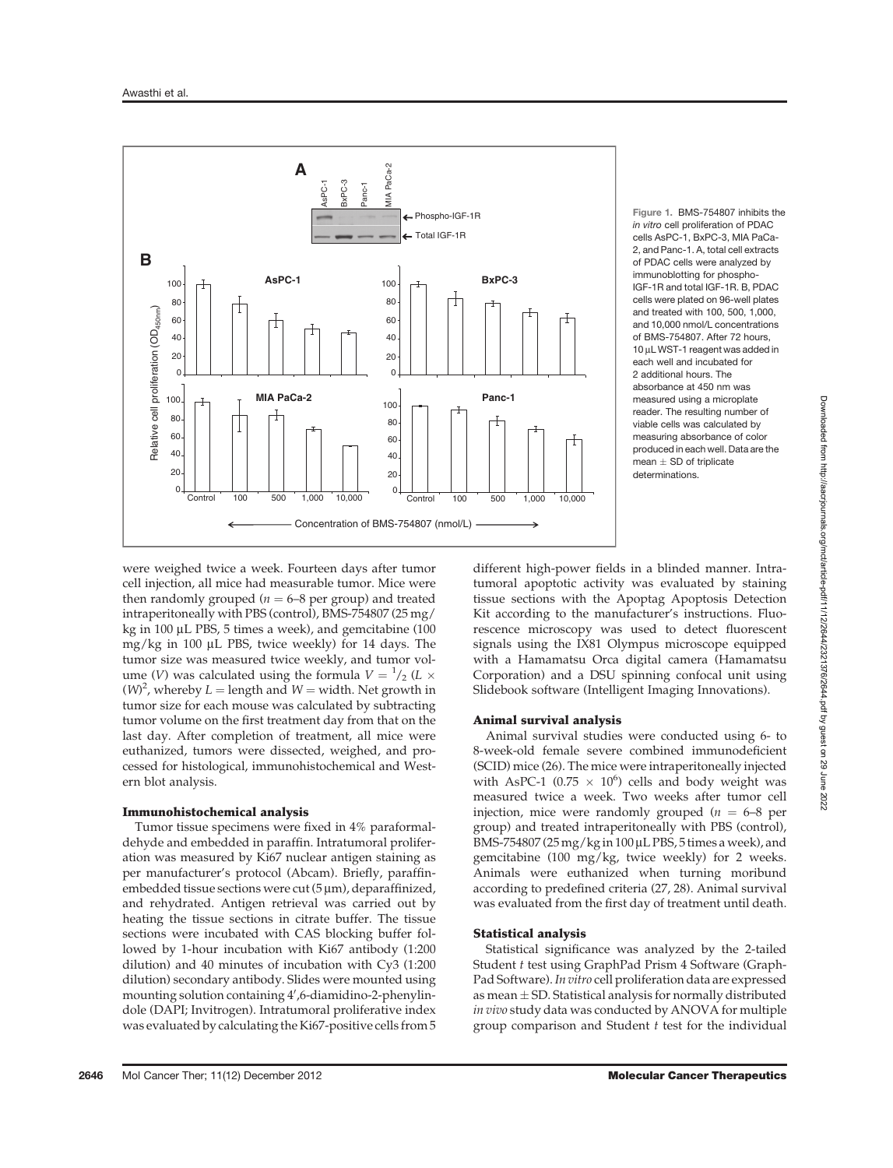

Figure 1. BMS-754807 inhibits the in vitro cell proliferation of PDAC cells AsPC-1, BxPC-3, MIA PaCa-2, and Panc-1. A, total cell extracts of PDAC cells were analyzed by immunoblotting for phospho-IGF-1R and total IGF-1R. B, PDAC cells were plated on 96-well plates and treated with 100, 500, 1,000, and 10,000 nmol/L concentrations of BMS-754807. After 72 hours, 10 µL WST-1 reagent was added in each well and incubated for 2 additional hours. The absorbance at 450 nm was measured using a microplate reader. The resulting number of viable cells was calculated by measuring absorbance of color produced in each well. Data are the  $mean + SD$  of triplicate determinations.

were weighed twice a week. Fourteen days after tumor cell injection, all mice had measurable tumor. Mice were then randomly grouped ( $n = 6-8$  per group) and treated intraperitoneally with PBS (control), BMS-754807 (25 mg/ kg in 100  $\mu$ L PBS, 5 times a week), and gemcitabine (100 mg/kg in 100  $\mu$ L PBS, twice weekly) for 14 days. The tumor size was measured twice weekly, and tumor volume (V) was calculated using the formula  $V = \frac{1}{2} (L \times$  $(W)^2$ , whereby  $L =$  length and  $W =$  width. Net growth in tumor size for each mouse was calculated by subtracting tumor volume on the first treatment day from that on the last day. After completion of treatment, all mice were euthanized, tumors were dissected, weighed, and processed for histological, immunohistochemical and Western blot analysis.

## Immunohistochemical analysis

Tumor tissue specimens were fixed in 4% paraformaldehyde and embedded in paraffin. Intratumoral proliferation was measured by Ki67 nuclear antigen staining as per manufacturer's protocol (Abcam). Briefly, paraffinembedded tissue sections were cut  $(5 \mu m)$ , deparaffinized, and rehydrated. Antigen retrieval was carried out by heating the tissue sections in citrate buffer. The tissue sections were incubated with CAS blocking buffer followed by 1-hour incubation with Ki67 antibody (1:200 dilution) and 40 minutes of incubation with Cy3 (1:200 dilution) secondary antibody. Slides were mounted using mounting solution containing 4<sup>0</sup> ,6-diamidino-2-phenylindole (DAPI; Invitrogen). Intratumoral proliferative index was evaluated by calculating the Ki67-positive cells from 5

different high-power fields in a blinded manner. Intratumoral apoptotic activity was evaluated by staining tissue sections with the Apoptag Apoptosis Detection Kit according to the manufacturer's instructions. Fluorescence microscopy was used to detect fluorescent signals using the IX81 Olympus microscope equipped with a Hamamatsu Orca digital camera (Hamamatsu Corporation) and a DSU spinning confocal unit using Slidebook software (Intelligent Imaging Innovations).

## Animal survival analysis

Animal survival studies were conducted using 6- to 8-week-old female severe combined immunodeficient (SCID) mice (26). The mice were intraperitoneally injected with AsPC-1 (0.75  $\times$  10<sup>6</sup>) cells and body weight was measured twice a week. Two weeks after tumor cell injection, mice were randomly grouped ( $n = 6-8$  per group) and treated intraperitoneally with PBS (control), BMS-754807 (25 mg/kg in  $100 \mu$ L PBS, 5 times a week), and gemcitabine (100 mg/kg, twice weekly) for 2 weeks. Animals were euthanized when turning moribund according to predefined criteria (27, 28). Animal survival was evaluated from the first day of treatment until death.

#### Statistical analysis

Statistical significance was analyzed by the 2-tailed Student t test using GraphPad Prism 4 Software (Graph-Pad Software).In vitro cell proliferation data are expressed as mean  $\pm$  SD. Statistical analysis for normally distributed in vivo study data was conducted by ANOVA for multiple group comparison and Student  $t$  test for the individual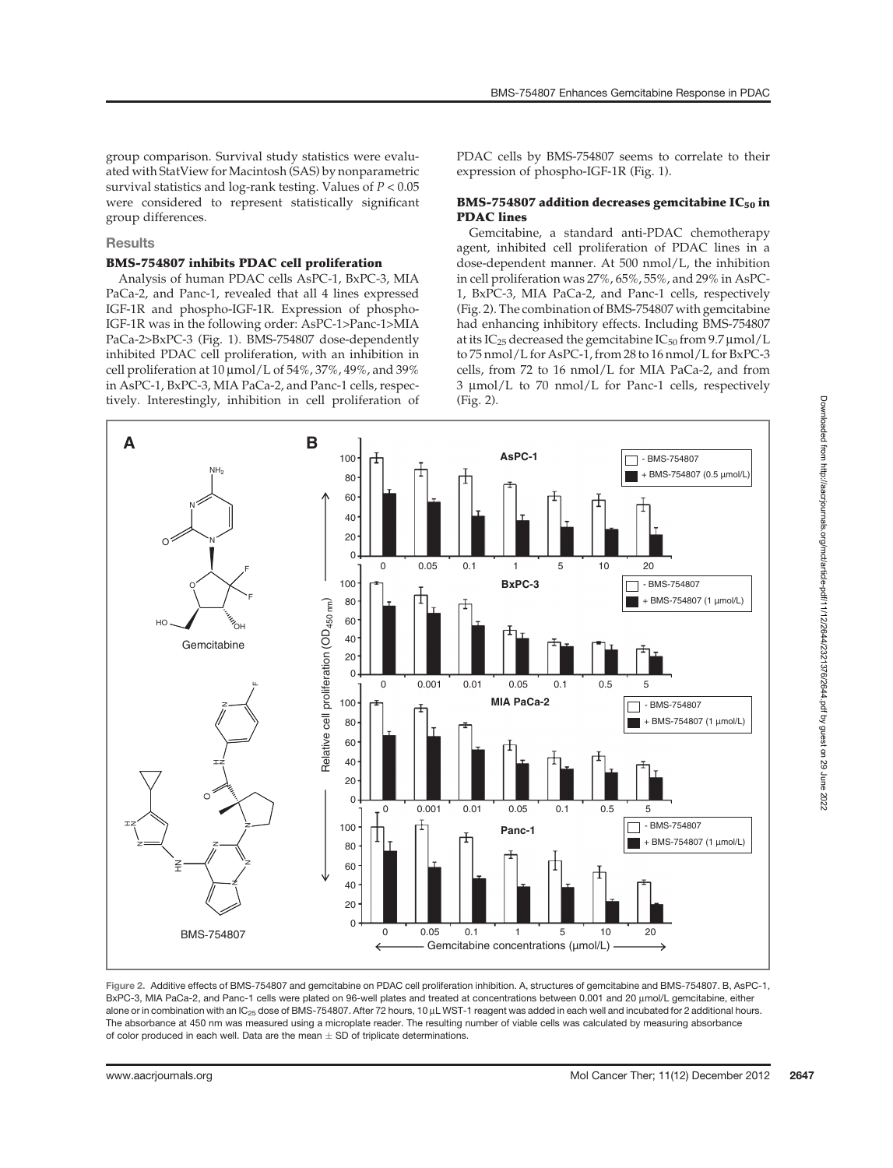BMS-754807 Enhances Gemcitabine Response in PDAC

group comparison. Survival study statistics were evaluated with StatView for Macintosh (SAS) by nonparametric survival statistics and log-rank testing. Values of  $P < 0.05$ were considered to represent statistically significant group differences.

## **Results**

#### BMS-754807 inhibits PDAC cell proliferation

Analysis of human PDAC cells AsPC-1, BxPC-3, MIA PaCa-2, and Panc-1, revealed that all 4 lines expressed IGF-1R and phospho-IGF-1R. Expression of phospho-IGF-1R was in the following order: AsPC-1>Panc-1>MIA PaCa-2>BxPC-3 (Fig. 1). BMS-754807 dose-dependently inhibited PDAC cell proliferation, with an inhibition in cell proliferation at  $10 \mu \text{mol/L}$  of  $54\%, 37\%, 49\%,$  and  $39\%$ in AsPC-1, BxPC-3, MIA PaCa-2, and Panc-1 cells, respectively. Interestingly, inhibition in cell proliferation of PDAC cells by BMS-754807 seems to correlate to their expression of phospho-IGF-1R (Fig. 1).

# BMS-754807 addition decreases gemcitabine  $IC_{50}$  in PDAC lines

Gemcitabine, a standard anti-PDAC chemotherapy agent, inhibited cell proliferation of PDAC lines in a dose-dependent manner. At 500 nmol/L, the inhibition in cell proliferation was 27%, 65%, 55%, and 29% in AsPC-1, BxPC-3, MIA PaCa-2, and Panc-1 cells, respectively (Fig. 2). The combination of BMS-754807 with gemcitabine had enhancing inhibitory effects. Including BMS-754807 at its IC<sub>25</sub> decreased the gemcitabine IC<sub>50</sub> from 9.7  $\mu$ mol/L to 75 nmol/L for AsPC-1, from 28 to 16 nmol/L for BxPC-3 cells, from 72 to 16 nmol/L for MIA PaCa-2, and from  $3 \mu$ mol/L to 70 nmol/L for Panc-1 cells, respectively (Fig. 2).



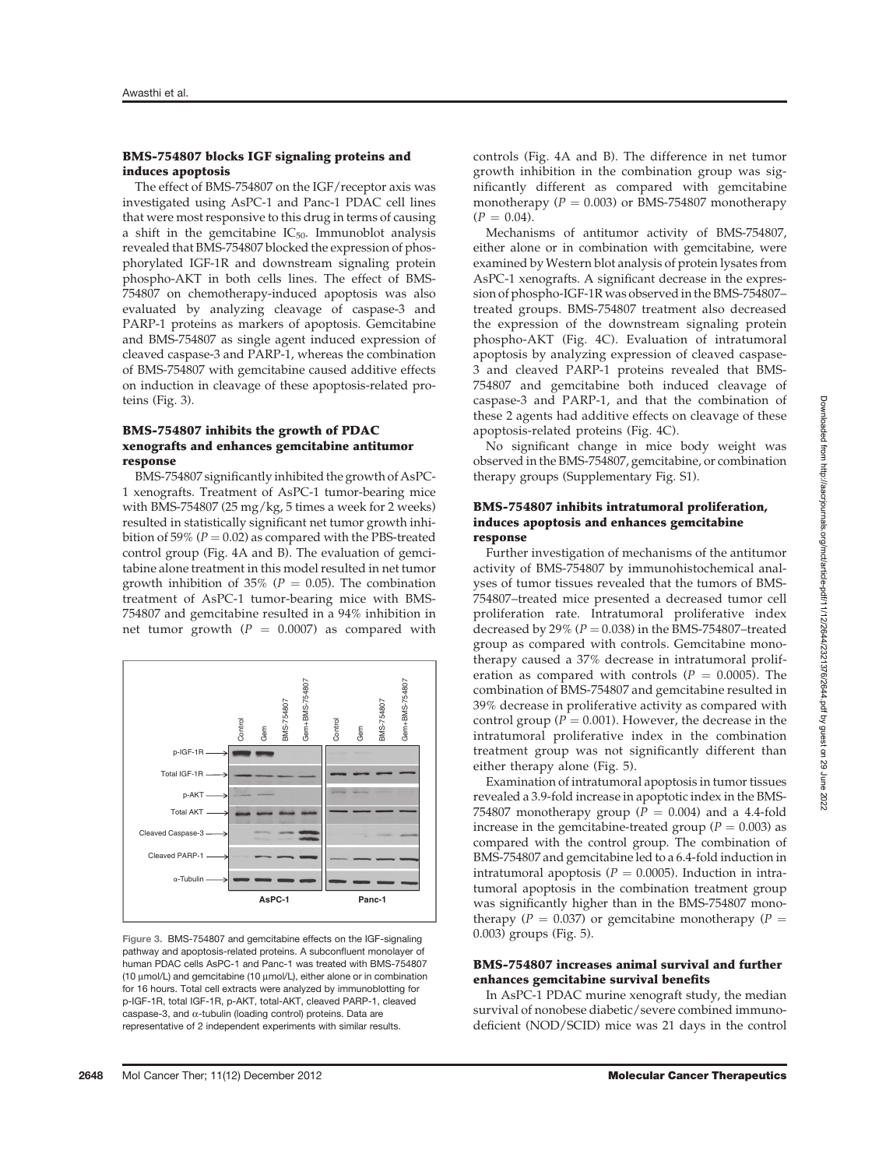#### BMS-754807 blocks IGF signaling proteins and induces apoptosis

The effect of BMS-754807 on the IGF/receptor axis was investigated using AsPC-1 and Panc-1 PDAC cell lines that were most responsive to this drug in terms of causing a shift in the gemcitabine  $IC_{50}$ . Immunoblot analysis revealed that BMS-754807 blocked the expression of phosphorylated IGF-1R and downstream signaling protein phospho-AKT in both cells lines. The effect of BMS-754807 on chemotherapy-induced apoptosis was also evaluated by analyzing cleavage of caspase-3 and PARP-1 proteins as markers of apoptosis. Gemcitabine and BMS-754807 as single agent induced expression of cleaved caspase-3 and PARP-1, whereas the combination of BMS-754807 with gemcitabine caused additive effects on induction in cleavage of these apoptosis-related proteins (Fig. 3).

## BMS-754807 inhibits the growth of PDAC xenografts and enhances gemcitabine antitumor response

BMS-754807 significantly inhibited the growth of AsPC-1 xenografts. Treatment of AsPC-1 tumor-bearing mice with BMS-754807 (25 mg/kg, 5 times a week for 2 weeks) resulted in statistically significant net tumor growth inhibition of 59% ( $P = 0.02$ ) as compared with the PBS-treated control group (Fig. 4A and B). The evaluation of gemcitabine alone treatment in this model resulted in net tumor growth inhibition of 35% ( $P = 0.05$ ). The combination treatment of AsPC-1 tumor-bearing mice with BMS-754807 and gemcitabine resulted in a 94% inhibition in net tumor growth ( $P = 0.0007$ ) as compared with



Figure 3. BMS-754807 and gemcitabine effects on the IGF-signaling pathway and apoptosis-related proteins. A subconfluent monolayer of human PDAC cells AsPC-1 and Panc-1 was treated with BMS-754807 (10 mmol/L) and gemcitabine (10 mmol/L), either alone or in combination for 16 hours. Total cell extracts were analyzed by immunoblotting for p-IGF-1R, total IGF-1R, p-AKT, total-AKT, cleaved PARP-1, cleaved caspase-3, and  $\alpha$ -tubulin (loading control) proteins. Data are representative of 2 independent experiments with similar results.

controls (Fig. 4A and B). The difference in net tumor growth inhibition in the combination group was significantly different as compared with gemcitabine monotherapy ( $P = 0.003$ ) or BMS-754807 monotherapy  $(P = 0.04)$ .

Mechanisms of antitumor activity of BMS-754807, either alone or in combination with gemcitabine, were examined by Western blot analysis of protein lysates from AsPC-1 xenografts. A significant decrease in the expression of phospho-IGF-1R was observed in the BMS-754807– treated groups. BMS-754807 treatment also decreased the expression of the downstream signaling protein phospho-AKT (Fig. 4C). Evaluation of intratumoral apoptosis by analyzing expression of cleaved caspase-3 and cleaved PARP-1 proteins revealed that BMS-754807 and gemcitabine both induced cleavage of caspase-3 and PARP-1, and that the combination of these 2 agents had additive effects on cleavage of these apoptosis-related proteins (Fig. 4C).

No significant change in mice body weight was observed in the BMS-754807, gemcitabine, or combination therapy groups (Supplementary Fig. S1).

## BMS-754807 inhibits intratumoral proliferation, induces apoptosis and enhances gemcitabine response

Further investigation of mechanisms of the antitumor activity of BMS-754807 by immunohistochemical analyses of tumor tissues revealed that the tumors of BMS-754807–treated mice presented a decreased tumor cell proliferation rate. Intratumoral proliferative index decreased by 29% ( $P = 0.038$ ) in the BMS-754807-treated group as compared with controls. Gemcitabine monotherapy caused a 37% decrease in intratumoral proliferation as compared with controls ( $P = 0.0005$ ). The combination of BMS-754807 and gemcitabine resulted in 39% decrease in proliferative activity as compared with control group ( $P = 0.001$ ). However, the decrease in the intratumoral proliferative index in the combination treatment group was not significantly different than either therapy alone (Fig. 5).

Examination of intratumoral apoptosis in tumor tissues revealed a 3.9-fold increase in apoptotic index in the BMS-754807 monotherapy group ( $P = 0.004$ ) and a 4.4-fold increase in the gemcitabine-treated group ( $P = 0.003$ ) as compared with the control group. The combination of BMS-754807 and gemcitabine led to a 6.4-fold induction in intratumoral apoptosis ( $P = 0.0005$ ). Induction in intratumoral apoptosis in the combination treatment group was significantly higher than in the BMS-754807 monotherapy ( $P = 0.037$ ) or gemcitabine monotherapy ( $P =$ 0.003) groups (Fig. 5).

## BMS-754807 increases animal survival and further enhances gemcitabine survival benefits

In AsPC-1 PDAC murine xenograft study, the median survival of nonobese diabetic/severe combined immunodeficient (NOD/SCID) mice was 21 days in the control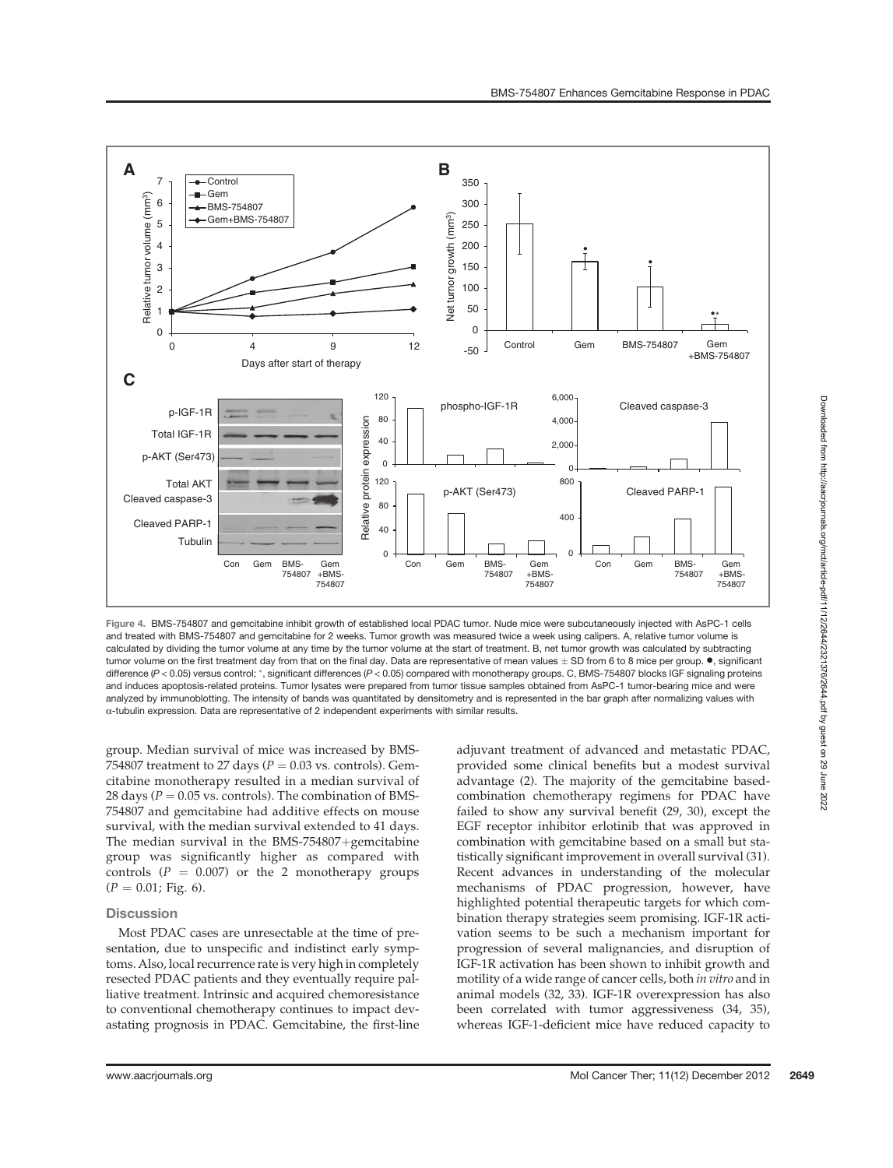

Figure 4. BMS-754807 and gemcitabine inhibit growth of established local PDAC tumor. Nude mice were subcutaneously injected with AsPC-1 cells and treated with BMS-754807 and gemcitabine for 2 weeks. Tumor growth was measured twice a week using calipers. A, relative tumor volume is calculated by dividing the tumor volume at any time by the tumor volume at the start of treatment. B, net tumor growth was calculated by subtracting tumor volume on the first treatment day from that on the final day. Data are representative of mean values  $\pm$  SD from 6 to 8 mice per group.  $\bullet$ , significant difference  $(P < 0.05)$  versus control; \*, significant differences  $(P < 0.05)$  compared with monotherapy groups. C, BMS-754807 blocks IGF signaling proteins and induces apoptosis-related proteins. Tumor lysates were prepared from tumor tissue samples obtained from AsPC-1 tumor-bearing mice and were analyzed by immunoblotting. The intensity of bands was quantitated by densitometry and is represented in the bar graph after normalizing values with  $\alpha$ -tubulin expression. Data are representative of 2 independent experiments with similar results.

group. Median survival of mice was increased by BMS-754807 treatment to 27 days ( $P = 0.03$  vs. controls). Gemcitabine monotherapy resulted in a median survival of 28 days ( $P = 0.05$  vs. controls). The combination of BMS-754807 and gemcitabine had additive effects on mouse survival, with the median survival extended to 41 days. The median survival in the BMS-754807+gemcitabine group was significantly higher as compared with controls ( $P = 0.007$ ) or the 2 monotherapy groups  $(P = 0.01; Fig. 6).$ 

# **Discussion**

Most PDAC cases are unresectable at the time of presentation, due to unspecific and indistinct early symptoms. Also, local recurrence rate is very high in completely resected PDAC patients and they eventually require palliative treatment. Intrinsic and acquired chemoresistance to conventional chemotherapy continues to impact devastating prognosis in PDAC. Gemcitabine, the first-line adjuvant treatment of advanced and metastatic PDAC, provided some clinical benefits but a modest survival advantage (2). The majority of the gemcitabine basedcombination chemotherapy regimens for PDAC have failed to show any survival benefit (29, 30), except the EGF receptor inhibitor erlotinib that was approved in combination with gemcitabine based on a small but statistically significant improvement in overall survival (31). Recent advances in understanding of the molecular mechanisms of PDAC progression, however, have highlighted potential therapeutic targets for which combination therapy strategies seem promising. IGF-1R activation seems to be such a mechanism important for progression of several malignancies, and disruption of IGF-1R activation has been shown to inhibit growth and motility of a wide range of cancer cells, both in vitro and in animal models (32, 33). IGF-1R overexpression has also been correlated with tumor aggressiveness (34, 35), whereas IGF-1-deficient mice have reduced capacity to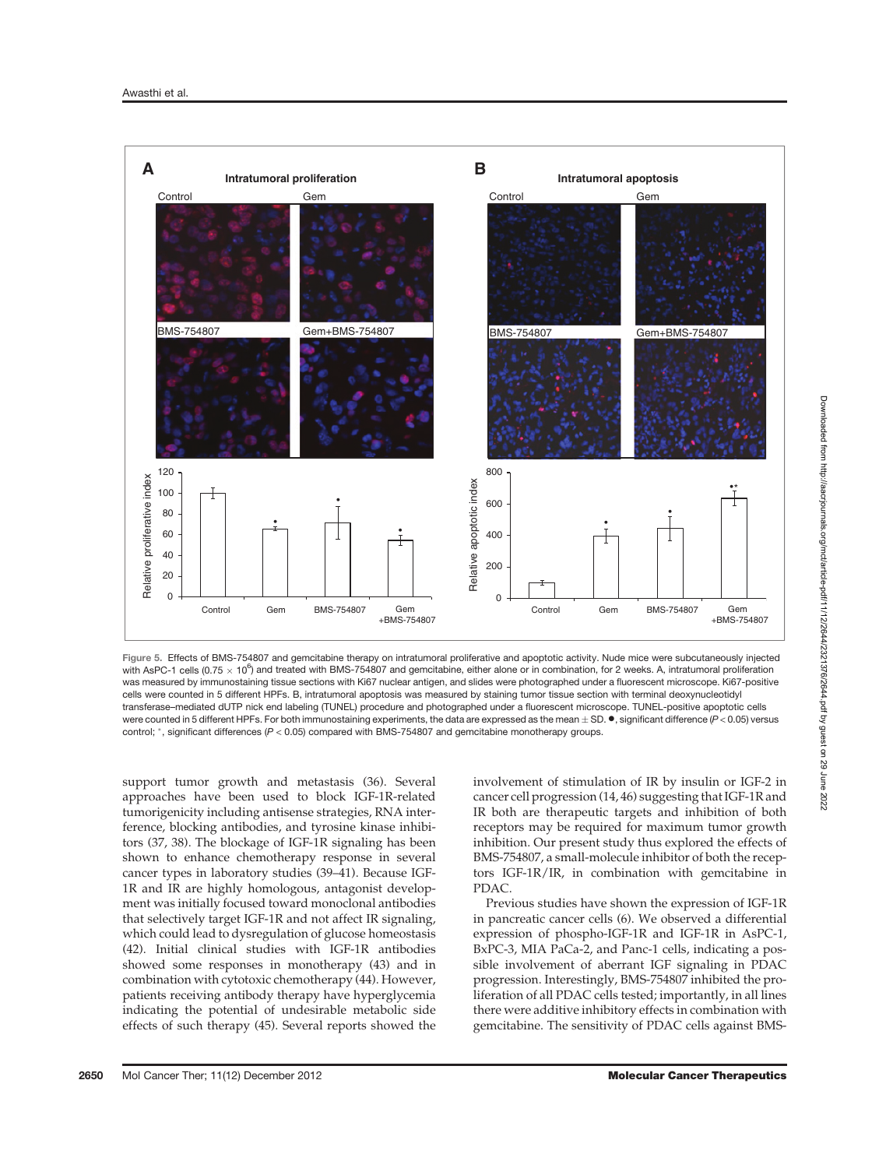

Figure 5. Effects of BMS-754807 and gemcitabine therapy on intratumoral proliferative and apoptotic activity. Nude mice were subcutaneously injected with AsPC-1 cells (0.75  $\times$  10<sup>6</sup>) and treated with BMS-754807 and gemcitabine, either alone or in combination, for 2 weeks. A, intratumoral proliferation was measured by immunostaining tissue sections with Ki67 nuclear antigen, and slides were photographed under a fluorescent microscope. Ki67-positive cells were counted in 5 different HPFs. B, intratumoral apoptosis was measured by staining tumor tissue section with terminal deoxynucleotidyl transferase–mediated dUTP nick end labeling (TUNEL) procedure and photographed under a fluorescent microscope. TUNEL-positive apoptotic cells were counted in 5 different HPFs. For both immunostaining experiments, the data are expressed as the mean  $\pm$  SD.  $\bullet$ , significant difference (P < 0.05) versus control; \*, significant differences (P < 0.05) compared with BMS-754807 and gemcitabine monotherapy groups.

support tumor growth and metastasis (36). Several approaches have been used to block IGF-1R-related tumorigenicity including antisense strategies, RNA interference, blocking antibodies, and tyrosine kinase inhibitors (37, 38). The blockage of IGF-1R signaling has been shown to enhance chemotherapy response in several cancer types in laboratory studies (39–41). Because IGF-1R and IR are highly homologous, antagonist development was initially focused toward monoclonal antibodies that selectively target IGF-1R and not affect IR signaling, which could lead to dysregulation of glucose homeostasis (42). Initial clinical studies with IGF-1R antibodies showed some responses in monotherapy (43) and in combination with cytotoxic chemotherapy (44). However, patients receiving antibody therapy have hyperglycemia indicating the potential of undesirable metabolic side effects of such therapy (45). Several reports showed the involvement of stimulation of IR by insulin or IGF-2 in cancer cell progression (14, 46) suggesting that IGF-1R and IR both are therapeutic targets and inhibition of both receptors may be required for maximum tumor growth inhibition. Our present study thus explored the effects of BMS-754807, a small-molecule inhibitor of both the receptors IGF-1R/IR, in combination with gemcitabine in PDAC.

Previous studies have shown the expression of IGF-1R in pancreatic cancer cells (6). We observed a differential expression of phospho-IGF-1R and IGF-1R in AsPC-1, BxPC-3, MIA PaCa-2, and Panc-1 cells, indicating a possible involvement of aberrant IGF signaling in PDAC progression. Interestingly, BMS-754807 inhibited the proliferation of all PDAC cells tested; importantly, in all lines there were additive inhibitory effects in combination with gemcitabine. The sensitivity of PDAC cells against BMS-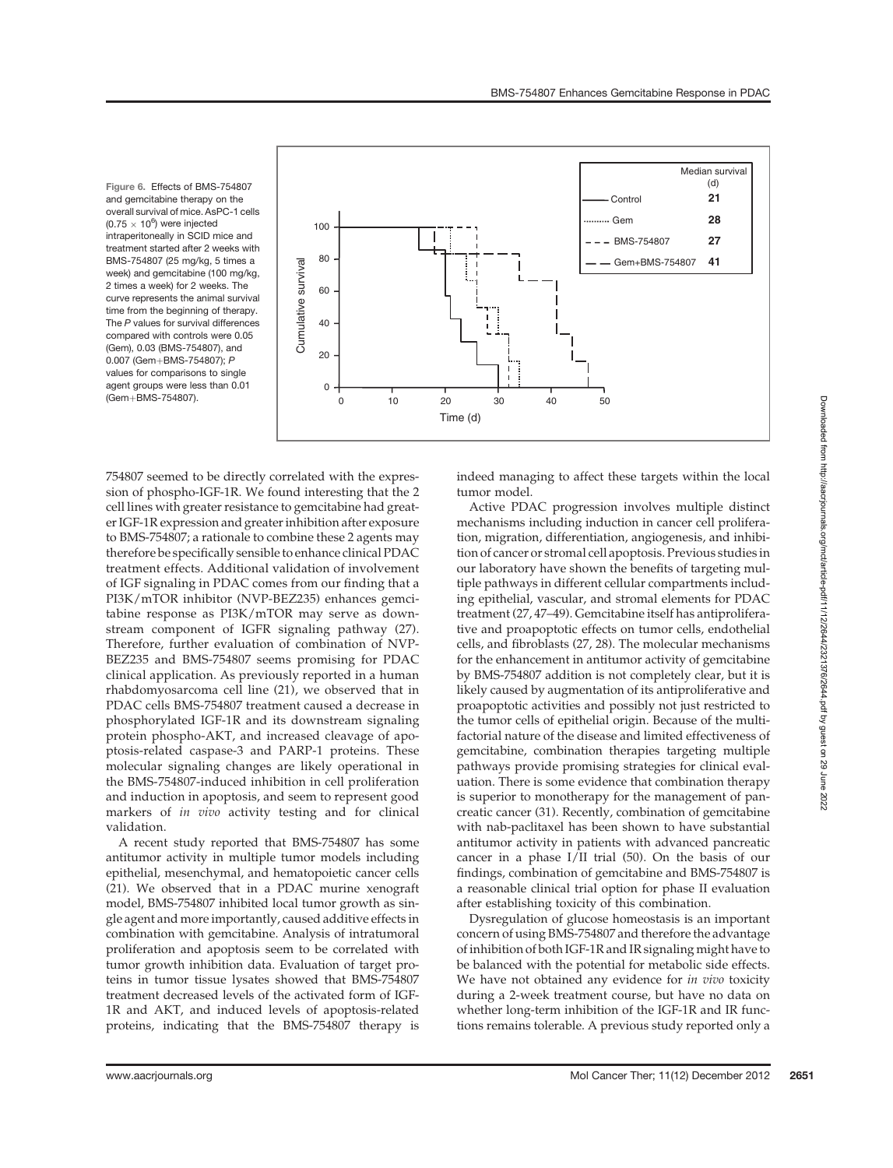Figure 6. Effects of BMS-754807 and gemcitabine therapy on the overall survival of mice. AsPC-1 cells  $(0.75 \times 10^6)$  were injected intraperitoneally in SCID mice and treatment started after 2 weeks with BMS-754807 (25 mg/kg, 5 times a week) and gemcitabine (100 mg/kg, 2 times a week) for 2 weeks. The curve represents the animal survival time from the beginning of therapy. The P values for survival differences compared with controls were 0.05 (Gem), 0.03 (BMS-754807), and 0.007 (Gem+BMS-754807); P values for comparisons to single agent groups were less than 0.01



754807 seemed to be directly correlated with the expression of phospho-IGF-1R. We found interesting that the 2 cell lines with greater resistance to gemcitabine had greater IGF-1R expression and greater inhibition after exposure to BMS-754807; a rationale to combine these 2 agents may therefore be specifically sensible to enhance clinical PDAC treatment effects. Additional validation of involvement of IGF signaling in PDAC comes from our finding that a PI3K/mTOR inhibitor (NVP-BEZ235) enhances gemcitabine response as PI3K/mTOR may serve as downstream component of IGFR signaling pathway (27). Therefore, further evaluation of combination of NVP-BEZ235 and BMS-754807 seems promising for PDAC clinical application. As previously reported in a human rhabdomyosarcoma cell line (21), we observed that in PDAC cells BMS-754807 treatment caused a decrease in phosphorylated IGF-1R and its downstream signaling protein phospho-AKT, and increased cleavage of apoptosis-related caspase-3 and PARP-1 proteins. These molecular signaling changes are likely operational in the BMS-754807-induced inhibition in cell proliferation and induction in apoptosis, and seem to represent good markers of in vivo activity testing and for clinical validation.

A recent study reported that BMS-754807 has some antitumor activity in multiple tumor models including epithelial, mesenchymal, and hematopoietic cancer cells (21). We observed that in a PDAC murine xenograft model, BMS-754807 inhibited local tumor growth as single agent and more importantly, caused additive effects in combination with gemcitabine. Analysis of intratumoral proliferation and apoptosis seem to be correlated with tumor growth inhibition data. Evaluation of target proteins in tumor tissue lysates showed that BMS-754807 treatment decreased levels of the activated form of IGF-1R and AKT, and induced levels of apoptosis-related proteins, indicating that the BMS-754807 therapy is indeed managing to affect these targets within the local tumor model.

Active PDAC progression involves multiple distinct mechanisms including induction in cancer cell proliferation, migration, differentiation, angiogenesis, and inhibition of cancer or stromal cell apoptosis. Previous studies in our laboratory have shown the benefits of targeting multiple pathways in different cellular compartments including epithelial, vascular, and stromal elements for PDAC treatment (27, 47–49). Gemcitabine itself has antiproliferative and proapoptotic effects on tumor cells, endothelial cells, and fibroblasts (27, 28). The molecular mechanisms for the enhancement in antitumor activity of gemcitabine by BMS-754807 addition is not completely clear, but it is likely caused by augmentation of its antiproliferative and proapoptotic activities and possibly not just restricted to the tumor cells of epithelial origin. Because of the multifactorial nature of the disease and limited effectiveness of gemcitabine, combination therapies targeting multiple pathways provide promising strategies for clinical evaluation. There is some evidence that combination therapy is superior to monotherapy for the management of pancreatic cancer (31). Recently, combination of gemcitabine with nab-paclitaxel has been shown to have substantial antitumor activity in patients with advanced pancreatic cancer in a phase I/II trial (50). On the basis of our findings, combination of gemcitabine and BMS-754807 is a reasonable clinical trial option for phase II evaluation after establishing toxicity of this combination.

Dysregulation of glucose homeostasis is an important concern of using BMS-754807 and therefore the advantage of inhibition of both IGF-1R and IR signaling might have to be balanced with the potential for metabolic side effects. We have not obtained any evidence for in vivo toxicity during a 2-week treatment course, but have no data on whether long-term inhibition of the IGF-1R and IR functions remains tolerable. A previous study reported only a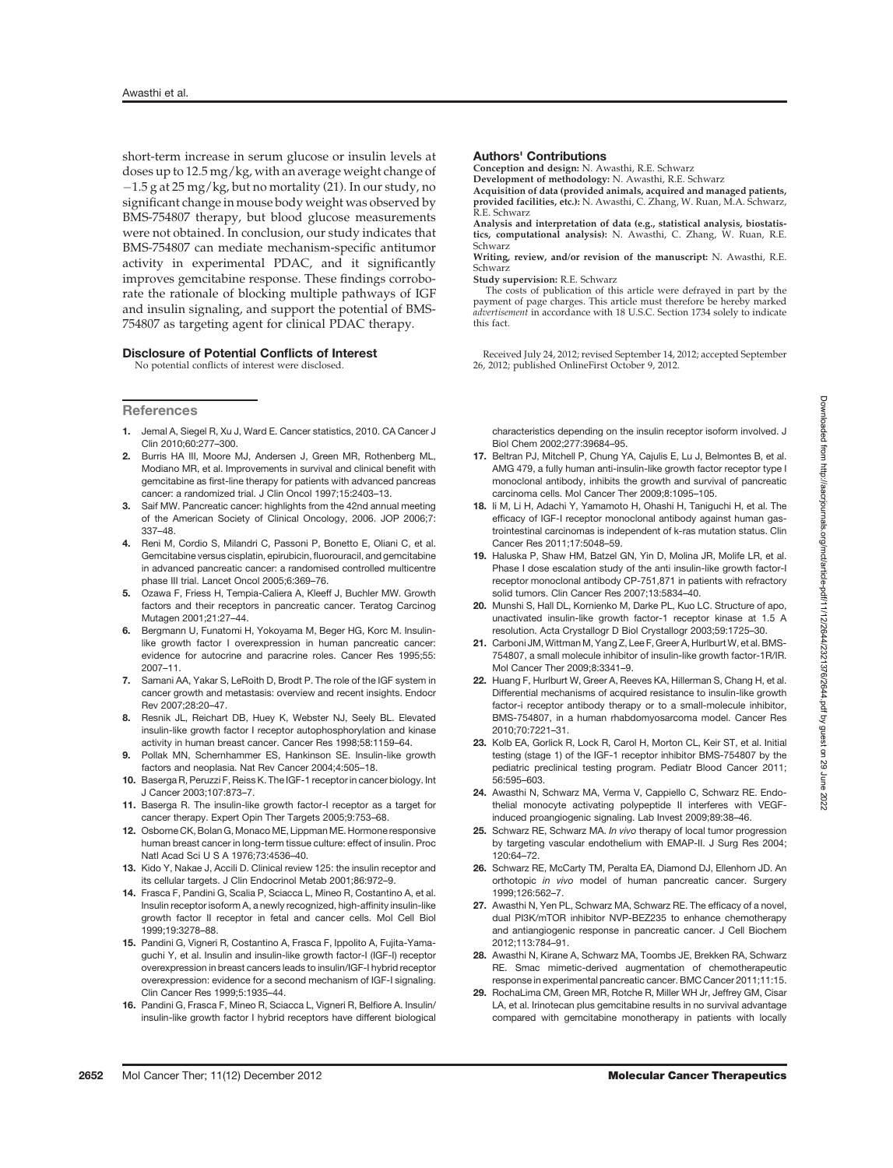short-term increase in serum glucose or insulin levels at doses up to 12.5 mg/kg, with an average weight change of  $-1.5$  g at 25 mg/kg, but no mortality (21). In our study, no significant change in mouse body weight was observed by BMS-754807 therapy, but blood glucose measurements were not obtained. In conclusion, our study indicates that BMS-754807 can mediate mechanism-specific antitumor activity in experimental PDAC, and it significantly improves gemcitabine response. These findings corroborate the rationale of blocking multiple pathways of IGF and insulin signaling, and support the potential of BMS-754807 as targeting agent for clinical PDAC therapy.

#### Disclosure of Potential Conflicts of Interest

No potential conflicts of interest were disclosed.

#### **References**

- 1. Jemal A, Siegel R, Xu J, Ward E. Cancer statistics, 2010. CA Cancer J Clin 2010;60:277–300.
- 2. Burris HA III, Moore MJ, Andersen J, Green MR, Rothenberg ML, Modiano MR, et al. Improvements in survival and clinical benefit with gemcitabine as first-line therapy for patients with advanced pancreas cancer: a randomized trial. J Clin Oncol 1997;15:2403–13.
- 3. Saif MW. Pancreatic cancer: highlights from the 42nd annual meeting of the American Society of Clinical Oncology, 2006. JOP 2006;7: 337–48.
- 4. Reni M, Cordio S, Milandri C, Passoni P, Bonetto E, Oliani C, et al. Gemcitabine versus cisplatin, epirubicin, fluorouracil, and gemcitabine in advanced pancreatic cancer: a randomised controlled multicentre phase III trial. Lancet Oncol 2005;6:369–76.
- 5. Ozawa F, Friess H, Tempia-Caliera A, Kleeff J, Buchler MW. Growth factors and their receptors in pancreatic cancer. Teratog Carcinog Mutagen 2001;21:27–44.
- Bergmann U, Funatomi H, Yokoyama M, Beger HG, Korc M. Insulinlike growth factor I overexpression in human pancreatic cancer: evidence for autocrine and paracrine roles. Cancer Res 1995;55: 2007–11.
- 7. Samani AA, Yakar S, LeRoith D, Brodt P. The role of the IGF system in cancer growth and metastasis: overview and recent insights. Endocr Rev 2007;28:20–47.
- 8. Resnik JL, Reichart DB, Huey K, Webster NJ, Seely BL. Elevated insulin-like growth factor I receptor autophosphorylation and kinase activity in human breast cancer. Cancer Res 1998;58:1159–64.
- Pollak MN, Schernhammer ES, Hankinson SE. Insulin-like growth factors and neoplasia. Nat Rev Cancer 2004;4:505–18.
- 10. Baserga R, Peruzzi F, Reiss K. The IGF-1 receptor in cancer biology. Int J Cancer 2003;107:873–7.
- 11. Baserga R. The insulin-like growth factor-I receptor as a target for cancer therapy. Expert Opin Ther Targets 2005;9:753–68.
- 12. Osborne CK, Bolan G, Monaco ME, Lippman ME. Hormone responsive human breast cancer in long-term tissue culture: effect of insulin. Proc Natl Acad Sci U S A 1976;73:4536–40.
- 13. Kido Y, Nakae J, Accili D. Clinical review 125: the insulin receptor and its cellular targets. J Clin Endocrinol Metab 2001;86:972–9.
- 14. Frasca F, Pandini G, Scalia P, Sciacca L, Mineo R, Costantino A, et al. Insulin receptor isoform A, a newly recognized, high-affinity insulin-like growth factor II receptor in fetal and cancer cells. Mol Cell Biol 1999;19:3278–88.
- 15. Pandini G, Vigneri R, Costantino A, Frasca F, Ippolito A, Fujita-Yamaguchi Y, et al. Insulin and insulin-like growth factor-I (IGF-I) receptor overexpression in breast cancers leads to insulin/IGF-I hybrid receptor overexpression: evidence for a second mechanism of IGF-I signaling. Clin Cancer Res 1999;5:1935–44.
- 16. Pandini G, Frasca F, Mineo R, Sciacca L, Vigneri R, Belfiore A. Insulin/ insulin-like growth factor I hybrid receptors have different biological

#### Authors' Contributions

Conception and design: N. Awasthi, R.E. Schwarz Development of methodology: N. Awasthi, R.E. Schwarz

Acquisition of data (provided animals, acquired and managed patients, provided facilities, etc.): N. Awasthi, C. Zhang, W. Ruan, M.A. Schwarz, R.E. Schwarz

Analysis and interpretation of data (e.g., statistical analysis, biostatis-tics, computational analysis): N. Awasthi, C. Zhang, W. Ruan, R.E. Schwarz

Writing, review, and/or revision of the manuscript: N. Awasthi, R.E. Schwarz

Study supervision: R.E. Schwarz

The costs of publication of this article were defrayed in part by the payment of page charges. This article must therefore be hereby marked advertisement in accordance with 18 U.S.C. Section 1734 solely to indicate this fact.

Received July 24, 2012; revised September 14, 2012; accepted September 26, 2012; published OnlineFirst October 9, 2012.

characteristics depending on the insulin receptor isoform involved. J Biol Chem 2002;277:39684–95.

- 17. Beltran PJ, Mitchell P, Chung YA, Cajulis E, Lu J, Belmontes B, et al. AMG 479, a fully human anti-insulin-like growth factor receptor type I monoclonal antibody, inhibits the growth and survival of pancreatic carcinoma cells. Mol Cancer Ther 2009;8:1095–105.
- 18. Ii M, Li H, Adachi Y, Yamamoto H, Ohashi H, Taniguchi H, et al. The efficacy of IGF-I receptor monoclonal antibody against human gastrointestinal carcinomas is independent of k-ras mutation status. Clin Cancer Res 2011;17:5048–59.
- 19. Haluska P, Shaw HM, Batzel GN, Yin D, Molina JR, Molife LR, et al. Phase I dose escalation study of the anti insulin-like growth factor-I receptor monoclonal antibody CP-751,871 in patients with refractory solid tumors. Clin Cancer Res 2007;13:5834–40.
- 20. Munshi S, Hall DL, Kornienko M, Darke PL, Kuo LC. Structure of apo, unactivated insulin-like growth factor-1 receptor kinase at 1.5 A resolution. Acta Crystallogr D Biol Crystallogr 2003;59:1725–30.
- 21. Carboni JM, Wittman M, Yang Z, Lee F, Greer A, Hurlburt W, et al. BMS-754807, a small molecule inhibitor of insulin-like growth factor-1R/IR. Mol Cancer Ther 2009;8:3341–9.
- 22. Huang F, Hurlburt W, Greer A, Reeves KA, Hillerman S, Chang H, et al. Differential mechanisms of acquired resistance to insulin-like growth factor-i receptor antibody therapy or to a small-molecule inhibitor, BMS-754807, in a human rhabdomyosarcoma model. Cancer Res 2010;70:7221–31.
- 23. Kolb EA, Gorlick R, Lock R, Carol H, Morton CL, Keir ST, et al. Initial testing (stage 1) of the IGF-1 receptor inhibitor BMS-754807 by the pediatric preclinical testing program. Pediatr Blood Cancer 2011; 56:595–603.
- 24. Awasthi N, Schwarz MA, Verma V, Cappiello C, Schwarz RE. Endothelial monocyte activating polypeptide II interferes with VEGFinduced proangiogenic signaling. Lab Invest 2009;89:38–46.
- 25. Schwarz RE, Schwarz MA, *In vivo* therapy of local tumor progression by targeting vascular endothelium with EMAP-II. J Surg Res 2004; 120:64–72.
- 26. Schwarz RE, McCarty TM, Peralta EA, Diamond DJ, Ellenhorn JD. An orthotopic in vivo model of human pancreatic cancer. Surgery 1999;126:562–7.
- 27. Awasthi N, Yen PL, Schwarz MA, Schwarz RE. The efficacy of a novel. dual PI3K/mTOR inhibitor NVP-BEZ235 to enhance chemotherapy and antiangiogenic response in pancreatic cancer. J Cell Biochem 2012;113:784–91.
- 28. Awasthi N, Kirane A, Schwarz MA, Toombs JE, Brekken RA, Schwarz RE. Smac mimetic-derived augmentation of chemotherapeutic response in experimental pancreatic cancer. BMC Cancer 2011;11:15.
- 29. RochaLima CM, Green MR, Rotche R, Miller WH Jr, Jeffrey GM, Cisar LA, et al. Irinotecan plus gemcitabine results in no survival advantage compared with gemcitabine monotherapy in patients with locally